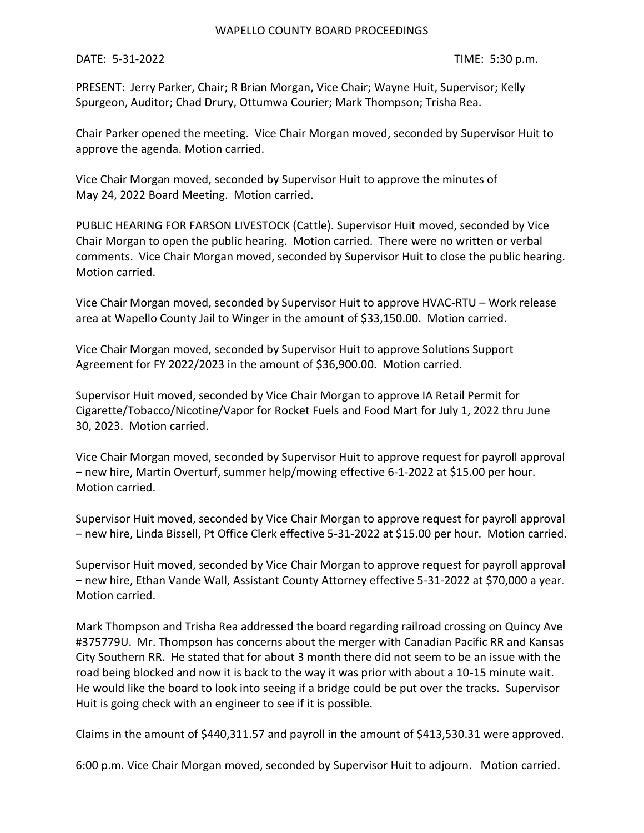## WAPELLO COUNTY BOARD PROCEEDINGS

DATE: 5-31-2022 TIME: 5:30 p.m.

PRESENT: Jerry Parker, Chair; R Brian Morgan, Vice Chair; Wayne Huit, Supervisor; Kelly Spurgeon, Auditor; Chad Drury, Ottumwa Courier; Mark Thompson; Trisha Rea.

Chair Parker opened the meeting. Vice Chair Morgan moved, seconded by Supervisor Huit to approve the agenda. Motion carried.

Vice Chair Morgan moved, seconded by Supervisor Huit to approve the minutes of May 24, 2022 Board Meeting. Motion carried.

PUBLIC HEARING FOR FARSON LIVESTOCK (Cattle). Supervisor Huit moved, seconded by Vice Chair Morgan to open the public hearing. Motion carried. There were no written or verbal comments. Vice Chair Morgan moved, seconded by Supervisor Huit to close the public hearing. Motion carried.

Vice Chair Morgan moved, seconded by Supervisor Huit to approve HVAC-RTU – Work release area at Wapello County Jail to Winger in the amount of \$33,150.00. Motion carried.

Vice Chair Morgan moved, seconded by Supervisor Huit to approve Solutions Support Agreement for FY 2022/2023 in the amount of \$36,900.00. Motion carried.

Supervisor Huit moved, seconded by Vice Chair Morgan to approve IA Retail Permit for Cigarette/Tobacco/Nicotine/Vapor for Rocket Fuels and Food Mart for July 1, 2022 thru June 30, 2023. Motion carried.

Vice Chair Morgan moved, seconded by Supervisor Huit to approve request for payroll approval – new hire, Martin Overturf, summer help/mowing effective 6-1-2022 at \$15.00 per hour. Motion carried.

Supervisor Huit moved, seconded by Vice Chair Morgan to approve request for payroll approval – new hire, Linda Bissell, Pt Office Clerk effective 5-31-2022 at \$15.00 per hour. Motion carried.

Supervisor Huit moved, seconded by Vice Chair Morgan to approve request for payroll approval – new hire, Ethan Vande Wall, Assistant County Attorney effective 5-31-2022 at \$70,000 a year. Motion carried.

Mark Thompson and Trisha Rea addressed the board regarding railroad crossing on Quincy Ave #375779U. Mr. Thompson has concerns about the merger with Canadian Pacific RR and Kansas City Southern RR. He stated that for about 3 month there did not seem to be an issue with the road being blocked and now it is back to the way it was prior with about a 10-15 minute wait. He would like the board to look into seeing if a bridge could be put over the tracks. Supervisor Huit is going check with an engineer to see if it is possible.

Claims in the amount of \$440,311.57 and payroll in the amount of \$413,530.31 were approved.

6:00 p.m. Vice Chair Morgan moved, seconded by Supervisor Huit to adjourn. Motion carried.